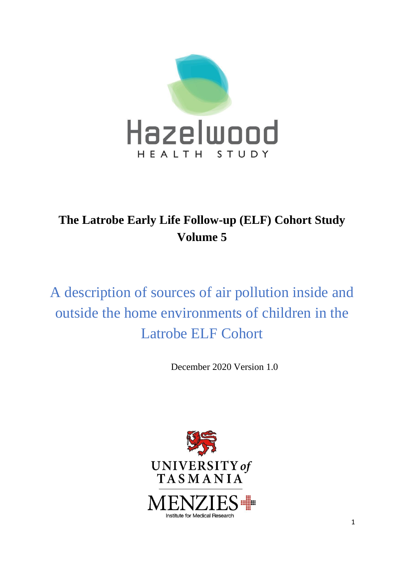

# **The Latrobe Early Life Follow-up (ELF) Cohort Study Volume 5**

A description of sources of air pollution inside and outside the home environments of children in the Latrobe ELF Cohort

December 2020 Version 1.0

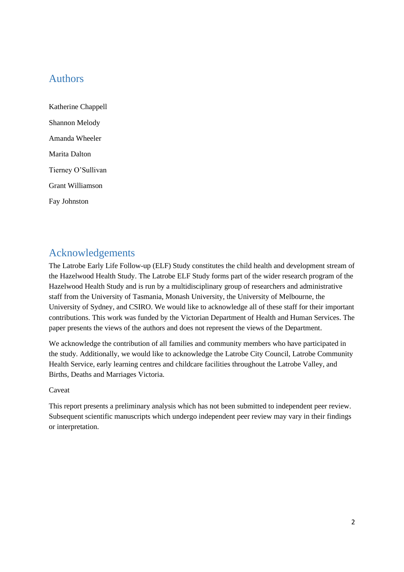# <span id="page-1-0"></span>Authors

Katherine Chappell Shannon Melody Amanda Wheeler Marita Dalton Tierney O'Sullivan Grant Williamson Fay Johnston

# <span id="page-1-1"></span>Acknowledgements

The Latrobe Early Life Follow-up (ELF) Study constitutes the child health and development stream of the Hazelwood Health Study. The Latrobe ELF Study forms part of the wider research program of the Hazelwood Health Study and is run by a multidisciplinary group of researchers and administrative staff from the University of Tasmania, Monash University, the University of Melbourne, the University of Sydney, and CSIRO. We would like to acknowledge all of these staff for their important contributions. This work was funded by the Victorian Department of Health and Human Services. The paper presents the views of the authors and does not represent the views of the Department.

We acknowledge the contribution of all families and community members who have participated in the study. Additionally, we would like to acknowledge the Latrobe City Council, Latrobe Community Health Service, early learning centres and childcare facilities throughout the Latrobe Valley, and Births, Deaths and Marriages Victoria.

#### Caveat

This report presents a preliminary analysis which has not been submitted to independent peer review. Subsequent scientific manuscripts which undergo independent peer review may vary in their findings or interpretation.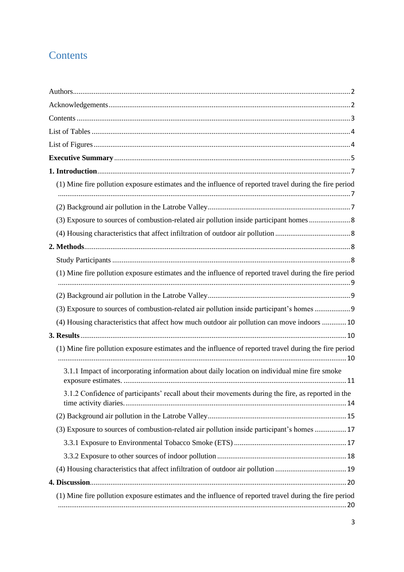# <span id="page-2-0"></span>**Contents**

| (1) Mine fire pollution exposure estimates and the influence of reported travel during the fire period |
|--------------------------------------------------------------------------------------------------------|
|                                                                                                        |
| (3) Exposure to sources of combustion-related air pollution inside participant homes  8                |
|                                                                                                        |
|                                                                                                        |
| (1) Mine fire pollution exposure estimates and the influence of reported travel during the fire period |
|                                                                                                        |
| (3) Exposure to sources of combustion-related air pollution inside participant's homes  9              |
| (4) Housing characteristics that affect how much outdoor air pollution can move indoors  10            |
|                                                                                                        |
| (1) Mine fire pollution exposure estimates and the influence of reported travel during the fire period |
| 3.1.1 Impact of incorporating information about daily location on individual mine fire smoke           |
| 3.1.2 Confidence of participants' recall about their movements during the fire, as reported in the     |
|                                                                                                        |
| (3) Exposure to sources of combustion-related air pollution inside participant's homes  17             |
|                                                                                                        |
|                                                                                                        |
|                                                                                                        |
|                                                                                                        |
| (1) Mine fire pollution exposure estimates and the influence of reported travel during the fire period |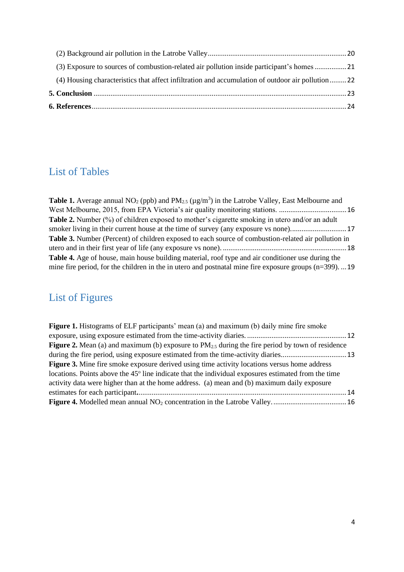| (4) Housing characteristics that affect infiltration and accumulation of outdoor air pollution 22 |  |
|---------------------------------------------------------------------------------------------------|--|
| (3) Exposure to sources of combustion-related air pollution inside participant's homes 21         |  |
|                                                                                                   |  |

# <span id="page-3-0"></span>List of Tables

**Table 1.** Average annual  $NO_2$  (ppb) and  $PM_{2.5}$  ( $\mu$ g/m<sup>3</sup>) in the Latrobe Valley, East Melbourne and [West Melbourne, 2015, from EPA Victoria's air quality monitoring stations.](#page-15-0) ....................................16 **Table 2.** [Number \(%\) of children exposed to mother's cigarette smoking in utero and/or an adult](#page-16-2)  [smoker living in their current house at the time of survey \(any exposure vs none\).](#page-16-2).............................17 **Table 3.** [Number \(Percent\) of children exposed to each source of combustion-related air pollution in](#page-17-1)  [utero and in their first year of life \(any exposure vs none\).](#page-17-1) ..................................................................18 **Table 4.** [Age of house, main house building material, roof type and air conditioner use during the](#page-18-1)  [mine fire period, for the children in the in utero and postnatal mine fire exposure groups \(n=399\).](#page-18-1) ...19

# <span id="page-3-1"></span>List of Figures

| <b>Figure 1.</b> Histograms of ELF participants' mean (a) and maximum (b) daily mine fire smoke                 |  |
|-----------------------------------------------------------------------------------------------------------------|--|
|                                                                                                                 |  |
| <b>Figure 2.</b> Mean (a) and maximum (b) exposure to $PM_{2,5}$ during the fire period by town of residence    |  |
|                                                                                                                 |  |
| <b>Figure 3.</b> Mine fire smoke exposure derived using time activity locations versus home address             |  |
| locations. Points above the 45 <sup>°</sup> line indicate that the individual exposures estimated from the time |  |
| activity data were higher than at the home address. (a) mean and (b) maximum daily exposure                     |  |
|                                                                                                                 |  |
|                                                                                                                 |  |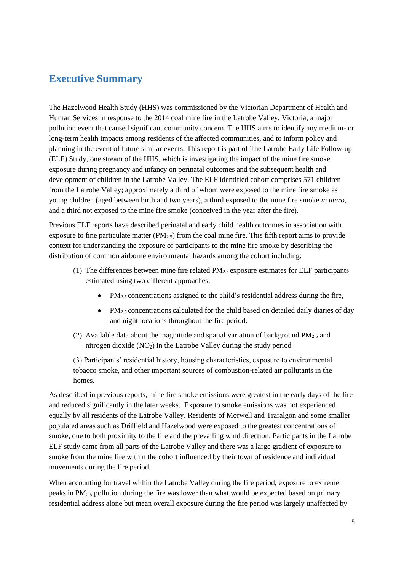## <span id="page-4-0"></span>**Executive Summary**

The Hazelwood Health Study (HHS) was commissioned by the Victorian Department of Health and Human Services in response to the 2014 coal mine fire in the Latrobe Valley, Victoria; a major pollution event that caused significant community concern. The HHS aims to identify any medium- or long-term health impacts among residents of the affected communities, and to inform policy and planning in the event of future similar events. This report is part of The Latrobe Early Life Follow-up (ELF) Study, one stream of the HHS, which is investigating the impact of the mine fire smoke exposure during pregnancy and infancy on perinatal outcomes and the subsequent health and development of children in the Latrobe Valley. The ELF identified cohort comprises 571 children from the Latrobe Valley; approximately a third of whom were exposed to the mine fire smoke as young children (aged between birth and two years), a third exposed to the mine fire smoke *in utero*, and a third not exposed to the mine fire smoke (conceived in the year after the fire).

Previous ELF reports have described perinatal and early child health outcomes in association with exposure to fine particulate matter  $(PM_{2.5})$  from the coal mine fire. This fifth report aims to provide context for understanding the exposure of participants to the mine fire smoke by describing the distribution of common airborne environmental hazards among the cohort including:

- (1) The differences between mine fire related  $PM_{2.5}$  exposure estimates for ELF participants estimated using two different approaches:
	- $PM_{2.5}$  concentrations assigned to the child's residential address during the fire,
	- $PM_{2.5}$  concentrations calculated for the child based on detailed daily diaries of day and night locations throughout the fire period.
- (2) Available data about the magnitude and spatial variation of background  $PM_{2.5}$  and nitrogen dioxide  $(NO<sub>2</sub>)$  in the Latrobe Valley during the study period

(3) Participants' residential history, housing characteristics, exposure to environmental tobacco smoke, and other important sources of combustion-related air pollutants in the homes.

As described in previous reports, mine fire smoke emissions were greatest in the early days of the fire and reduced significantly in the later weeks. Exposure to smoke emissions was not experienced equally by all residents of the Latrobe Valley. Residents of Morwell and Traralgon and some smaller populated areas such as Driffield and Hazelwood were exposed to the greatest concentrations of smoke, due to both proximity to the fire and the prevailing wind direction. Participants in the Latrobe ELF study came from all parts of the Latrobe Valley and there was a large gradient of exposure to smoke from the mine fire within the cohort influenced by their town of residence and individual movements during the fire period.

When accounting for travel within the Latrobe Valley during the fire period, exposure to extreme peaks in  $PM_{2.5}$  pollution during the fire was lower than what would be expected based on primary residential address alone but mean overall exposure during the fire period was largely unaffected by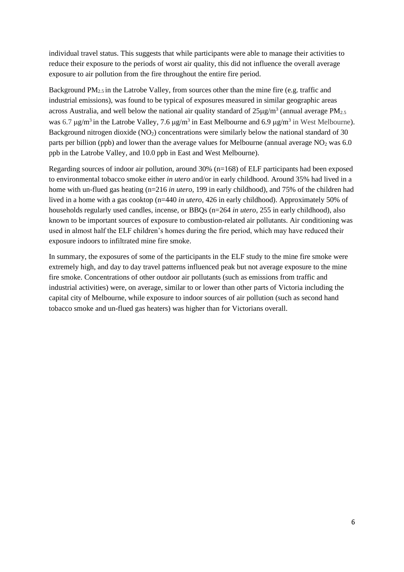individual travel status. This suggests that while participants were able to manage their activities to reduce their exposure to the periods of worst air quality, this did not influence the overall average exposure to air pollution from the fire throughout the entire fire period.

Background  $PM_{2.5}$  in the Latrobe Valley, from sources other than the mine fire (e.g. traffic and industrial emissions), was found to be typical of exposures measured in similar geographic areas across Australia, and well below the national air quality standard of  $25\mu\text{g/m}^3$  (annual average PM<sub>2.5</sub>) was 6.7  $\mu$ g/m<sup>3</sup> in the Latrobe Valley, 7.6  $\mu$ g/m<sup>3</sup> in East Melbourne and 6.9  $\mu$ g/m<sup>3</sup> in West Melbourne). Background nitrogen dioxide  $(NO<sub>2</sub>)$  concentrations were similarly below the national standard of 30 parts per billion (ppb) and lower than the average values for Melbourne (annual average  $NO<sub>2</sub>$  was 6.0 ppb in the Latrobe Valley, and 10.0 ppb in East and West Melbourne).

Regarding sources of indoor air pollution, around 30% (n=168) of ELF participants had been exposed to environmental tobacco smoke either *in utero* and/or in early childhood. Around 35% had lived in a home with un-flued gas heating (n=216 *in utero*, 199 in early childhood), and 75% of the children had lived in a home with a gas cooktop (n=440 *in utero*, 426 in early childhood). Approximately 50% of households regularly used candles, incense, or BBQs (n=264 *in utero*, 255 in early childhood), also known to be important sources of exposure to combustion-related air pollutants. Air conditioning was used in almost half the ELF children's homes during the fire period, which may have reduced their exposure indoors to infiltrated mine fire smoke.

In summary, the exposures of some of the participants in the ELF study to the mine fire smoke were extremely high, and day to day travel patterns influenced peak but not average exposure to the mine fire smoke. Concentrations of other outdoor air pollutants (such as emissions from traffic and industrial activities) were, on average, similar to or lower than other parts of Victoria including the capital city of Melbourne, while exposure to indoor sources of air pollution (such as second hand tobacco smoke and un-flued gas heaters) was higher than for Victorians overall.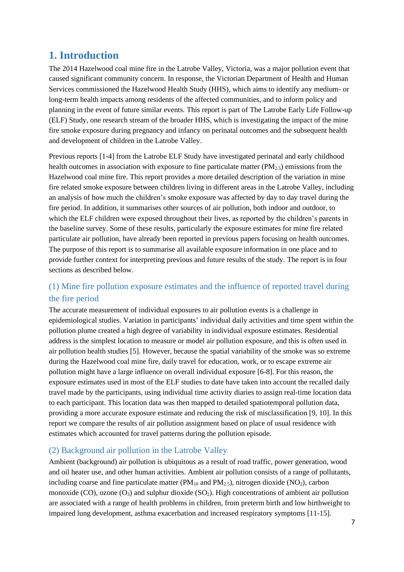# <span id="page-6-0"></span>**1. Introduction**

The 2014 Hazelwood coal mine fire in the Latrobe Valley, Victoria, was a major pollution event that caused significant community concern. In response, the Victorian Department of Health and Human Services commissioned the Hazelwood Health Study (HHS), which aims to identify any medium- or long-term health impacts among residents of the affected communities, and to inform policy and planning in the event of future similar events. This report is part of The Latrobe Early Life Follow-up (ELF) Study, one research stream of the broader HHS, which is investigating the impact of the mine fire smoke exposure during pregnancy and infancy on perinatal outcomes and the subsequent health and development of children in the Latrobe Valley.

Previous reports [1-4] from the Latrobe ELF Study have investigated perinatal and early childhood health outcomes in association with exposure to fine particulate matter  $(PM_{2.5})$  emissions from the Hazelwood coal mine fire. This report provides a more detailed description of the variation in mine fire related smoke exposure between children living in different areas in the Latrobe Valley, including an analysis of how much the children's smoke exposure was affected by day to day travel during the fire period. In addition, it summarises other sources of air pollution, both indoor and outdoor, to which the ELF children were exposed throughout their lives, as reported by the children's parents in the baseline survey. Some of these results, particularly the exposure estimates for mine fire related particulate air pollution, have already been reported in previous papers focusing on health outcomes. The purpose of this report is to summarise all available exposure information in one place and to provide further context for interpreting previous and future results of the study. The report is in four sections as described below.

### <span id="page-6-1"></span>(1) Mine fire pollution exposure estimates and the influence of reported travel during the fire period

The accurate measurement of individual exposures to air pollution events is a challenge in epidemiological studies. Variation in participants' individual daily activities and time spent within the pollution plume created a high degree of variability in individual exposure estimates. Residential address is the simplest location to measure or model air pollution exposure, and this is often used in air pollution health studies [5]. However, because the spatial variability of the smoke was so extreme during the Hazelwood coal mine fire, daily travel for education, work, or to escape extreme air pollution might have a large influence on overall individual exposure [6-8]. For this reason, the exposure estimates used in most of the ELF studies to date have taken into account the recalled daily travel made by the participants, using individual time activity diaries to assign real-time location data to each participant. This location data was then mapped to detailed spatiotemporal pollution data, providing a more accurate exposure estimate and reducing the risk of misclassification [9, 10]. In this report we compare the results of air pollution assignment based on place of usual residence with estimates which accounted for travel patterns during the pollution episode.

### <span id="page-6-2"></span>(2) Background air pollution in the Latrobe Valley

Ambient (background) air pollution is ubiquitous as a result of road traffic, power generation, wood and oil heater use, and other human activities. Ambient air pollution consists of a range of pollutants, including coarse and fine particulate matter ( $PM_{10}$  and  $PM_{2.5}$ ), nitrogen dioxide (NO<sub>2</sub>), carbon monoxide (CO), ozone  $(O_3)$  and sulphur dioxide (SO<sub>2</sub>). High concentrations of ambient air pollution are associated with a range of health problems in children, from preterm birth and low birthweight to impaired lung development, asthma exacerbation and increased respiratory symptoms [11-15].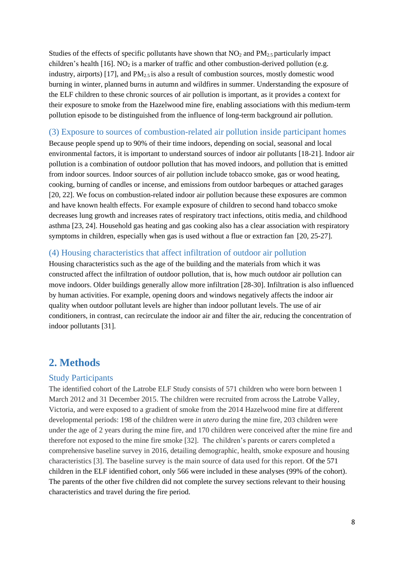Studies of the effects of specific pollutants have shown that  $NO<sub>2</sub>$  and  $PM<sub>2.5</sub>$  particularly impact children's health  $[16]$ . NO<sub>2</sub> is a marker of traffic and other combustion-derived pollution (e.g. industry, airports)  $[17]$ , and  $PM_{2.5}$  is also a result of combustion sources, mostly domestic wood burning in winter, planned burns in autumn and wildfires in summer. Understanding the exposure of the ELF children to these chronic sources of air pollution is important, as it provides a context for their exposure to smoke from the Hazelwood mine fire, enabling associations with this medium-term pollution episode to be distinguished from the influence of long-term background air pollution.

#### <span id="page-7-0"></span>(3) Exposure to sources of combustion-related air pollution inside participant homes

Because people spend up to 90% of their time indoors, depending on social, seasonal and local environmental factors, it is important to understand sources of indoor air pollutants [18-21]. Indoor air pollution is a combination of outdoor pollution that has moved indoors, and pollution that is emitted from indoor sources. Indoor sources of air pollution include tobacco smoke, gas or wood heating, cooking, burning of candles or incense, and emissions from outdoor barbeques or attached garages [20, 22]. We focus on combustion-related indoor air pollution because these exposures are common and have known health effects. For example exposure of children to second hand tobacco smoke decreases lung growth and increases rates of respiratory tract infections, otitis media, and childhood asthma [23, 24]. Household gas heating and gas cooking also has a clear association with respiratory symptoms in children, especially when gas is used without a flue or extraction fan [20, 25-27].

#### <span id="page-7-1"></span>(4) Housing characteristics that affect infiltration of outdoor air pollution

Housing characteristics such as the age of the building and the materials from which it was constructed affect the infiltration of outdoor pollution, that is, how much outdoor air pollution can move indoors. Older buildings generally allow more infiltration [28-30]. Infiltration is also influenced by human activities. For example, opening doors and windows negatively affects the indoor air quality when outdoor pollutant levels are higher than indoor pollutant levels. The use of air conditioners, in contrast, can recirculate the indoor air and filter the air, reducing the concentration of indoor pollutants [31].

### <span id="page-7-2"></span>**2. Methods**

#### <span id="page-7-3"></span>Study Participants

The identified cohort of the Latrobe ELF Study consists of 571 children who were born between 1 March 2012 and 31 December 2015. The children were recruited from across the Latrobe Valley, Victoria, and were exposed to a gradient of smoke from the 2014 Hazelwood mine fire at different developmental periods: 198 of the children were *in utero* during the mine fire, 203 children were under the age of 2 years during the mine fire, and 170 children were conceived after the mine fire and therefore not exposed to the mine fire smoke [32]. The children's parents or carers completed a comprehensive baseline survey in 2016, detailing demographic, health, smoke exposure and housing characteristics [3]. The baseline survey is the main source of data used for this report. Of the 571 children in the ELF identified cohort, only 566 were included in these analyses (99% of the cohort). The parents of the other five children did not complete the survey sections relevant to their housing characteristics and travel during the fire period.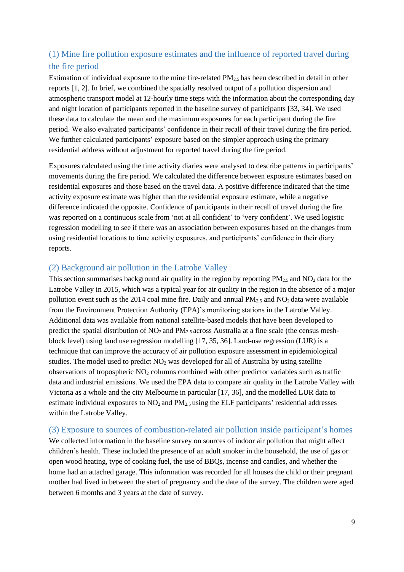### <span id="page-8-0"></span>(1) Mine fire pollution exposure estimates and the influence of reported travel during the fire period

Estimation of individual exposure to the mine fire-related  $PM_{2.5}$  has been described in detail in other reports [1, 2]. In brief, we combined the spatially resolved output of a pollution dispersion and atmospheric transport model at 12-hourly time steps with the information about the corresponding day and night location of participants reported in the baseline survey of participants [33, 34]. We used these data to calculate the mean and the maximum exposures for each participant during the fire period. We also evaluated participants' confidence in their recall of their travel during the fire period. We further calculated participants' exposure based on the simpler approach using the primary residential address without adjustment for reported travel during the fire period.

Exposures calculated using the time activity diaries were analysed to describe patterns in participants' movements during the fire period. We calculated the difference between exposure estimates based on residential exposures and those based on the travel data. A positive difference indicated that the time activity exposure estimate was higher than the residential exposure estimate, while a negative difference indicated the opposite. Confidence of participants in their recall of travel during the fire was reported on a continuous scale from 'not at all confident' to 'very confident'. We used logistic regression modelling to see if there was an association between exposures based on the changes from using residential locations to time activity exposures, and participants' confidence in their diary reports.

#### <span id="page-8-1"></span>(2) Background air pollution in the Latrobe Valley

This section summarises background air quality in the region by reporting  $PM_{2.5}$  and  $NO_2$  data for the Latrobe Valley in 2015, which was a typical year for air quality in the region in the absence of a major pollution event such as the 2014 coal mine fire. Daily and annual  $PM_{2.5}$  and  $NO<sub>2</sub>$  data were available from the Environment Protection Authority (EPA)'s monitoring stations in the Latrobe Valley. Additional data was available from national satellite-based models that have been developed to predict the spatial distribution of  $NO_2$  and  $PM_{2.5}$  across Australia at a fine scale (the census meshblock level) using land use regression modelling [17, 35, 36]. Land-use regression (LUR) is a technique that can improve the accuracy of air pollution exposure assessment in epidemiological studies. The model used to predict  $NO<sub>2</sub>$  was developed for all of Australia by using satellite observations of tropospheric NO<sup>2</sup> columns combined with other predictor variables such as traffic data and industrial emissions. We used the EPA data to compare air quality in the Latrobe Valley with Victoria as a whole and the city Melbourne in particular [17, 36], and the modelled LUR data to estimate individual exposures to  $NO<sub>2</sub>$  and  $PM<sub>2.5</sub>$  using the ELF participants' residential addresses within the Latrobe Valley.

#### <span id="page-8-2"></span>(3) Exposure to sources of combustion-related air pollution inside participant's homes

We collected information in the baseline survey on sources of indoor air pollution that might affect children's health. These included the presence of an adult smoker in the household, the use of gas or open wood heating, type of cooking fuel, the use of BBQs, incense and candles, and whether the home had an attached garage. This information was recorded for all houses the child or their pregnant mother had lived in between the start of pregnancy and the date of the survey. The children were aged between 6 months and 3 years at the date of survey.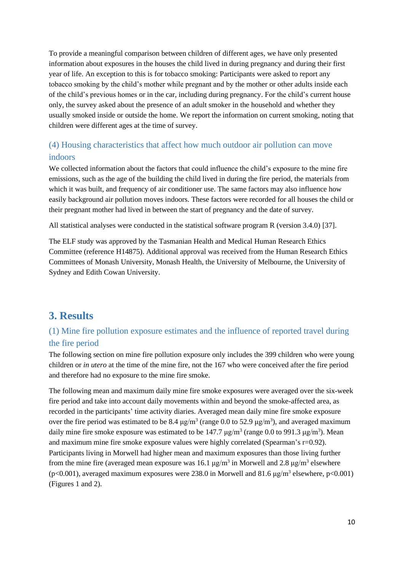To provide a meaningful comparison between children of different ages, we have only presented information about exposures in the houses the child lived in during pregnancy and during their first year of life. An exception to this is for tobacco smoking: Participants were asked to report any tobacco smoking by the child's mother while pregnant and by the mother or other adults inside each of the child's previous homes or in the car, including during pregnancy. For the child's current house only, the survey asked about the presence of an adult smoker in the household and whether they usually smoked inside or outside the home. We report the information on current smoking, noting that children were different ages at the time of survey.

### <span id="page-9-0"></span>(4) Housing characteristics that affect how much outdoor air pollution can move indoors

We collected information about the factors that could influence the child's exposure to the mine fire emissions, such as the age of the building the child lived in during the fire period, the materials from which it was built, and frequency of air conditioner use. The same factors may also influence how easily background air pollution moves indoors. These factors were recorded for all houses the child or their pregnant mother had lived in between the start of pregnancy and the date of survey.

All statistical analyses were conducted in the statistical software program R (version 3.4.0) [37].

The ELF study was approved by the Tasmanian Health and Medical Human Research Ethics Committee (reference H14875). Additional approval was received from the Human Research Ethics Committees of Monash University, Monash Health, the University of Melbourne, the University of Sydney and Edith Cowan University.

### <span id="page-9-1"></span>**3. Results**

### <span id="page-9-2"></span>(1) Mine fire pollution exposure estimates and the influence of reported travel during the fire period

The following section on mine fire pollution exposure only includes the 399 children who were young children or *in utero* at the time of the mine fire, not the 167 who were conceived after the fire period and therefore had no exposure to the mine fire smoke.

The following mean and maximum daily mine fire smoke exposures were averaged over the six-week fire period and take into account daily movements within and beyond the smoke-affected area, as recorded in the participants' time activity diaries. Averaged mean daily mine fire smoke exposure over the fire period was estimated to be 8.4  $\mu$ g/m<sup>3</sup> (range 0.0 to 52.9  $\mu$ g/m<sup>3</sup>), and averaged maximum daily mine fire smoke exposure was estimated to be  $147.7 \text{ µg/m}^3$  (range 0.0 to 991.3  $\mu$ g/m<sup>3</sup>). Mean and maximum mine fire smoke exposure values were highly correlated (Spearman's r=0.92). Participants living in Morwell had higher mean and maximum exposures than those living further from the mine fire (averaged mean exposure was 16.1  $\mu$ g/m<sup>3</sup> in Morwell and 2.8  $\mu$ g/m<sup>3</sup> elsewhere (p<0.001), averaged maximum exposures were 238.0 in Morwell and 81.6  $\mu$ g/m<sup>3</sup> elsewhere, p<0.001) (Figures 1 and 2).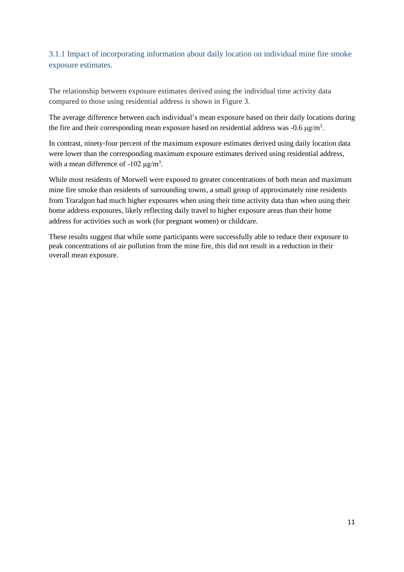### <span id="page-10-0"></span>3.1.1 Impact of incorporating information about daily location on individual mine fire smoke exposure estimates.

The relationship between exposure estimates derived using the individual time activity data compared to those using residential address is shown in Figure 3.

The average difference between each individual's mean exposure based on their daily locations during the fire and their corresponding mean exposure based on residential address was  $-0.6 \mu g/m<sup>3</sup>$ .

In contrast, ninety-four percent of the maximum exposure estimates derived using daily location data were lower than the corresponding maximum exposure estimates derived using residential address, with a mean difference of  $-102 \mu g/m^3$ .

While most residents of Morwell were exposed to greater concentrations of both mean and maximum mine fire smoke than residents of surrounding towns, a small group of approximately nine residents from Traralgon had much higher exposures when using their time activity data than when using their home address exposures, likely reflecting daily travel to higher exposure areas than their home address for activities such as work (for pregnant women) or childcare.

These results suggest that while some participants were successfully able to reduce their exposure to peak concentrations of air pollution from the mine fire, this did not result in a reduction in their overall mean exposure.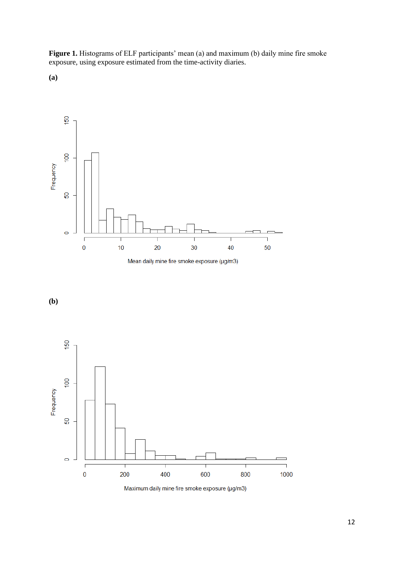<span id="page-11-0"></span>**Figure 1.** Histograms of ELF participants' mean (a) and maximum (b) daily mine fire smoke exposure, using exposure estimated from the time-activity diaries.











Maximum daily mine fire smoke exposure (µg/m3)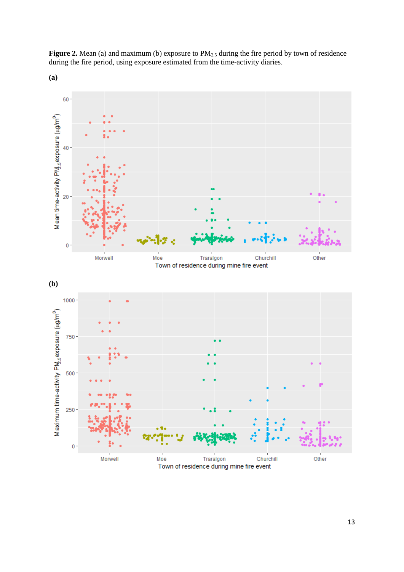<span id="page-12-0"></span>Figure 2. Mean (a) and maximum (b) exposure to PM<sub>2.5</sub> during the fire period by town of residence during the fire period, using exposure estimated from the time-activity diaries.











Town of residence during mine fire event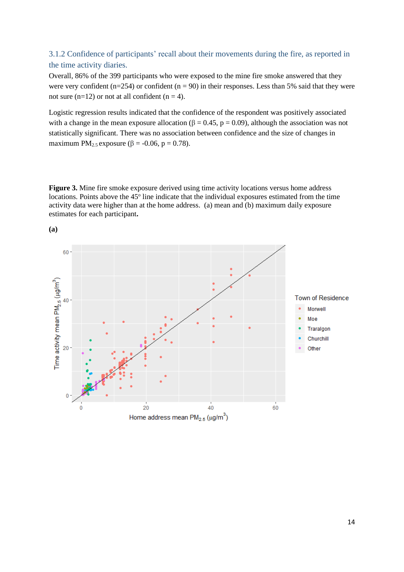### <span id="page-13-0"></span>3.1.2 Confidence of participants' recall about their movements during the fire, as reported in the time activity diaries.

Overall, 86% of the 399 participants who were exposed to the mine fire smoke answered that they were very confident (n=254) or confident (n = 90) in their responses. Less than 5% said that they were not sure (n=12) or not at all confident (n = 4).

Logistic regression results indicated that the confidence of the respondent was positively associated with a change in the mean exposure allocation ( $\beta = 0.45$ ,  $p = 0.09$ ), although the association was not statistically significant. There was no association between confidence and the size of changes in maximum PM<sub>2.5</sub> exposure ( $\beta$  = -0.06, p = 0.78).

<span id="page-13-1"></span>**Figure 3.** Mine fire smoke exposure derived using time activity locations versus home address locations. Points above the 45° line indicate that the individual exposures estimated from the time activity data were higher than at the home address. (a) mean and (b) maximum daily exposure estimates for each participant**.**



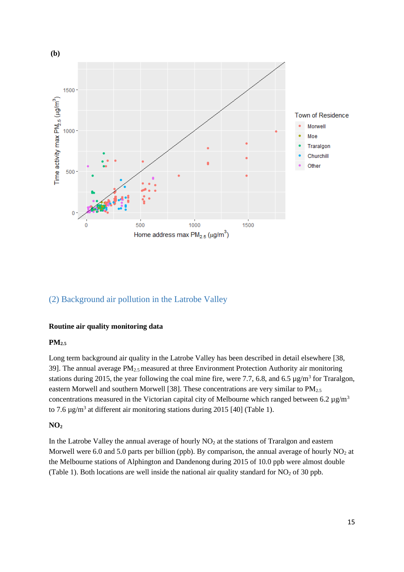

### <span id="page-14-0"></span>(2) Background air pollution in the Latrobe Valley

#### **Routine air quality monitoring data**

#### **PM2.5**

Long term background air quality in the Latrobe Valley has been described in detail elsewhere [38, 39]. The annual average  $PM_{2.5}$  measured at three Environment Protection Authority air monitoring stations during 2015, the year following the coal mine fire, were 7.7, 6.8, and 6.5  $\mu$ g/m<sup>3</sup> for Traralgon, eastern Morwell and southern Morwell [38]. These concentrations are very similar to PM<sub>2.5</sub> concentrations measured in the Victorian capital city of Melbourne which ranged between 6.2  $\mu$ g/m<sup>3</sup> to 7.6  $\mu$ g/m<sup>3</sup> at different air monitoring stations during 2015 [40] (Table 1).

#### **NO<sup>2</sup>**

In the Latrobe Valley the annual average of hourly  $NO<sub>2</sub>$  at the stations of Traralgon and eastern Morwell were 6.0 and 5.0 parts per billion (ppb). By comparison, the annual average of hourly  $NO<sub>2</sub>$  at the Melbourne stations of Alphington and Dandenong during 2015 of 10.0 ppb were almost double (Table 1). Both locations are well inside the national air quality standard for  $NO<sub>2</sub>$  of 30 ppb.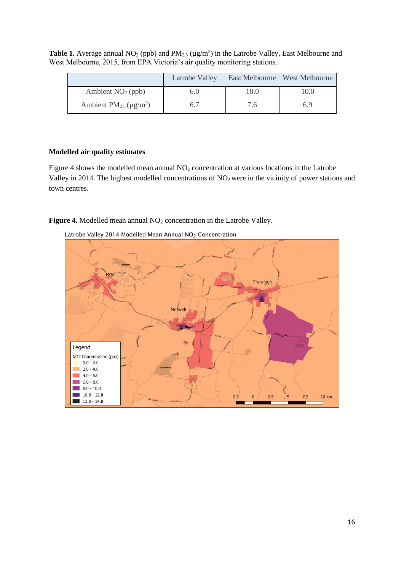|                                                      | Latrobe Valley |      | East Melbourne   West Melbourne |
|------------------------------------------------------|----------------|------|---------------------------------|
| Ambient $NO2$ (ppb)                                  |                | .0.0 |                                 |
| Ambient PM <sub>2.5</sub> ( $\mu$ g/m <sup>3</sup> ) |                |      | 6.9                             |

<span id="page-15-0"></span>**Table 1.** Average annual  $NO_2$  (ppb) and  $PM_{2.5}$  ( $\mu$ g/m<sup>3</sup>) in the Latrobe Valley, East Melbourne and West Melbourne, 2015, from EPA Victoria's air quality monitoring stations.

#### **Modelled air quality estimates**

Figure 4 shows the modelled mean annual NO<sub>2</sub> concentration at various locations in the Latrobe Valley in 2014. The highest modelled concentrations of NO<sub>2</sub> were in the vicinity of power stations and town centres.

<span id="page-15-1"></span>Figure 4. Modelled mean annual NO<sub>2</sub> concentration in the Latrobe Valley.



Latrobe Valley 2014 Modelled Mean Annual NO<sub>2</sub> Concentration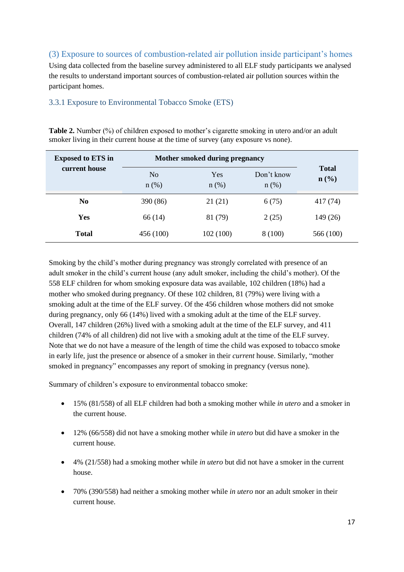### <span id="page-16-0"></span>(3) Exposure to sources of combustion-related air pollution inside participant's homes

Using data collected from the baseline survey administered to all ELF study participants we analysed the results to understand important sources of combustion-related air pollution sources within the participant homes.

#### <span id="page-16-1"></span>3.3.1 Exposure to Environmental Tobacco Smoke (ETS)

<span id="page-16-2"></span>**Table 2.** Number (%) of children exposed to mother's cigarette smoking in utero and/or an adult smoker living in their current house at the time of survey (any exposure vs none).

| <b>Exposed to ETS in</b> | Mother smoked during pregnancy |                |                       |                                  |
|--------------------------|--------------------------------|----------------|-----------------------|----------------------------------|
| current house            | N <sub>o</sub><br>$n$ (%)      | Yes<br>$n$ (%) | Don't know<br>$n$ (%) | <b>Total</b><br>$\mathbf{n}(\%)$ |
| N <sub>0</sub>           | 390 (86)                       | 21(21)         | 6(75)                 | 417 (74)                         |
| Yes                      | 66(14)                         | 81 (79)        | 2(25)                 | 149 (26)                         |
| <b>Total</b>             | 456 (100)                      | 102(100)       | 8 (100)               | 566 (100)                        |

Smoking by the child's mother during pregnancy was strongly correlated with presence of an adult smoker in the child's current house (any adult smoker, including the child's mother). Of the 558 ELF children for whom smoking exposure data was available, 102 children (18%) had a mother who smoked during pregnancy. Of these 102 children, 81 (79%) were living with a smoking adult at the time of the ELF survey. Of the 456 children whose mothers did not smoke during pregnancy, only 66 (14%) lived with a smoking adult at the time of the ELF survey. Overall, 147 children (26%) lived with a smoking adult at the time of the ELF survey, and 411 children (74% of all children) did not live with a smoking adult at the time of the ELF survey. Note that we do not have a measure of the length of time the child was exposed to tobacco smoke in early life, just the presence or absence of a smoker in their *current* house. Similarly, "mother smoked in pregnancy" encompasses any report of smoking in pregnancy (versus none).

Summary of children's exposure to environmental tobacco smoke:

- 15% (81/558) of all ELF children had both a smoking mother while *in utero* and a smoker in the current house.
- 12% (66/558) did not have a smoking mother while *in utero* but did have a smoker in the current house.
- 4% (21/558) had a smoking mother while *in utero* but did not have a smoker in the current house.
- 70% (390/558) had neither a smoking mother while *in utero* nor an adult smoker in their current house.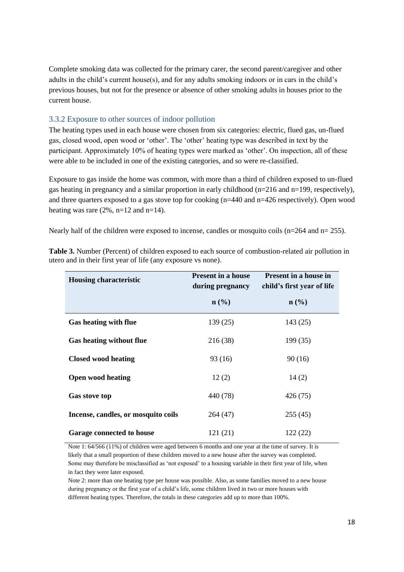Complete smoking data was collected for the primary carer, the second parent/caregiver and other adults in the child's current house(s), and for any adults smoking indoors or in cars in the child's previous houses, but not for the presence or absence of other smoking adults in houses prior to the current house.

#### <span id="page-17-0"></span>3.3.2 Exposure to other sources of indoor pollution

The heating types used in each house were chosen from six categories: electric, flued gas, un-flued gas, closed wood, open wood or 'other'. The 'other' heating type was described in text by the participant. Approximately 10% of heating types were marked as 'other'. On inspection, all of these were able to be included in one of the existing categories, and so were re-classified.

Exposure to gas inside the home was common, with more than a third of children exposed to un-flued gas heating in pregnancy and a similar proportion in early childhood (n=216 and n=199, respectively), and three quarters exposed to a gas stove top for cooking (n=440 and n=426 respectively). Open wood heating was rare  $(2\%, n=12 \text{ and } n=14)$ .

Nearly half of the children were exposed to incense, candles or mosquito coils ( $n=264$  and  $n=255$ ).

| <b>Housing characteristic</b>       | <b>Present in a house</b><br>during pregnancy | <b>Present in a house in</b><br>child's first year of life |
|-------------------------------------|-----------------------------------------------|------------------------------------------------------------|
|                                     | $n\left(\frac{0}{0}\right)$                   | $\mathbf{n}(\%)$                                           |
| <b>Gas heating with flue</b>        | 139 (25)                                      | 143(25)                                                    |
| <b>Gas heating without flue</b>     | 216 (38)                                      | 199(35)                                                    |
| <b>Closed wood heating</b>          | 93 (16)                                       | 90(16)                                                     |
| <b>Open wood heating</b>            | 12(2)                                         | 14(2)                                                      |
| <b>Gas stove top</b>                | 440 (78)                                      | 426 (75)                                                   |
| Incense, candles, or mosquito coils | 264 (47)                                      | 255(45)                                                    |
| <b>Garage connected to house</b>    | 121 (21)                                      | 122(22)                                                    |

<span id="page-17-1"></span>**Table 3.** Number (Percent) of children exposed to each source of combustion-related air pollution in utero and in their first year of life (any exposure vs none).

Note 1: 64/566 (11%) of children were aged between 6 months and one year at the time of survey. It is likely that a small proportion of these children moved to a new house after the survey was completed. Some may therefore be misclassified as 'not exposed' to a housing variable in their first year of life, when in fact they were later exposed.

Note 2: more than one heating type per house was possible. Also, as some families moved to a new house during pregnancy or the first year of a child's life, some children lived in two or more houses with different heating types. Therefore, the totals in these categories add up to more than 100%.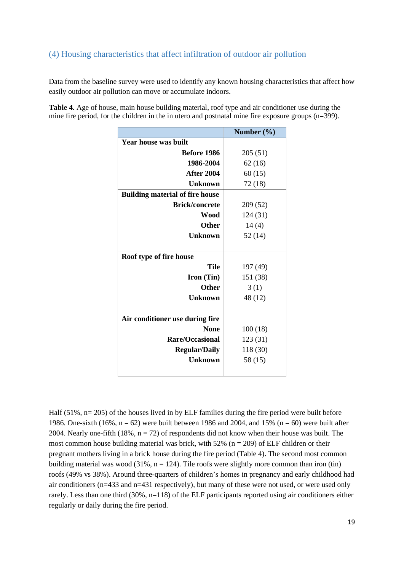### <span id="page-18-0"></span>(4) Housing characteristics that affect infiltration of outdoor air pollution

Data from the baseline survey were used to identify any known housing characteristics that affect how easily outdoor air pollution can move or accumulate indoors.

<span id="page-18-1"></span>**Table 4.** Age of house, main house building material, roof type and air conditioner use during the mine fire period, for the children in the in utero and postnatal mine fire exposure groups (n=399).

|                                        | Number $(\% )$ |
|----------------------------------------|----------------|
| <b>Year house was built</b>            |                |
| Before 1986                            | 205(51)        |
| 1986-2004                              | 62(16)         |
| <b>After 2004</b>                      | 60(15)         |
| Unknown                                | 72 (18)        |
| <b>Building material of fire house</b> |                |
| <b>Brick/concrete</b>                  | 209 (52)       |
| Wood                                   | 124 (31)       |
| <b>Other</b>                           | 14(4)          |
| Unknown                                | 52 (14)        |
|                                        |                |
| Roof type of fire house                |                |
| <b>Tile</b>                            | 197 (49)       |
| <b>Iron</b> (Tin)                      | 151 (38)       |
| Other                                  | 3(1)           |
| Unknown                                | 48 (12)        |
|                                        |                |
| Air conditioner use during fire        |                |
| <b>None</b>                            | 100(18)        |
| <b>Rare/Occasional</b>                 | 123 (31)       |
| <b>Regular/Daily</b>                   | 118 (30)       |
| <b>Unknown</b>                         | 58 (15)        |
|                                        |                |

Half (51%, n= 205) of the houses lived in by ELF families during the fire period were built before 1986. One-sixth (16%,  $n = 62$ ) were built between 1986 and 2004, and 15% ( $n = 60$ ) were built after 2004. Nearly one-fifth (18%,  $n = 72$ ) of respondents did not know when their house was built. The most common house building material was brick, with 52% ( $n = 209$ ) of ELF children or their pregnant mothers living in a brick house during the fire period (Table 4). The second most common building material was wood (31%,  $n = 124$ ). Tile roofs were slightly more common than iron (tin) roofs (49% vs 38%). Around three-quarters of children's homes in pregnancy and early childhood had air conditioners (n=433 and n=431 respectively), but many of these were not used, or were used only rarely. Less than one third (30%, n=118) of the ELF participants reported using air conditioners either regularly or daily during the fire period.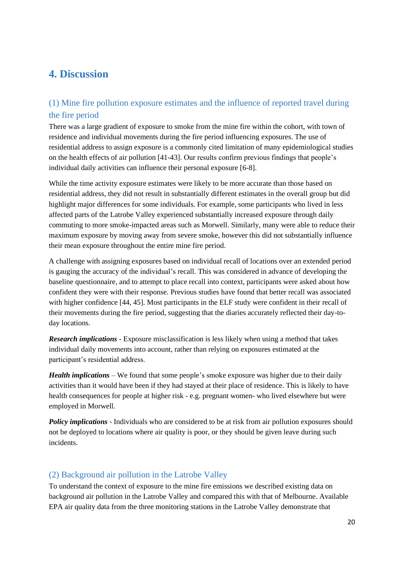# <span id="page-19-0"></span>**4. Discussion**

### <span id="page-19-1"></span>(1) Mine fire pollution exposure estimates and the influence of reported travel during the fire period

There was a large gradient of exposure to smoke from the mine fire within the cohort, with town of residence and individual movements during the fire period influencing exposures. The use of residential address to assign exposure is a commonly cited limitation of many epidemiological studies on the health effects of air pollution [41-43]. Our results confirm previous findings that people's individual daily activities can influence their personal exposure [6-8].

While the time activity exposure estimates were likely to be more accurate than those based on residential address, they did not result in substantially different estimates in the overall group but did highlight major differences for some individuals. For example, some participants who lived in less affected parts of the Latrobe Valley experienced substantially increased exposure through daily commuting to more smoke-impacted areas such as Morwell. Similarly, many were able to reduce their maximum exposure by moving away from severe smoke, however this did not substantially influence their mean exposure throughout the entire mine fire period.

A challenge with assigning exposures based on individual recall of locations over an extended period is gauging the accuracy of the individual's recall. This was considered in advance of developing the baseline questionnaire, and to attempt to place recall into context, participants were asked about how confident they were with their response. Previous studies have found that better recall was associated with higher confidence [44, 45]. Most participants in the ELF study were confident in their recall of their movements during the fire period, suggesting that the diaries accurately reflected their day-today locations.

*Research implications* - Exposure misclassification is less likely when using a method that takes individual daily movements into account, rather than relying on exposures estimated at the participant's residential address.

*Health implications* – We found that some people's smoke exposure was higher due to their daily activities than it would have been if they had stayed at their place of residence. This is likely to have health consequences for people at higher risk - e.g. pregnant women- who lived elsewhere but were employed in Morwell.

*Policy implications* - Individuals who are considered to be at risk from air pollution exposures should not be deployed to locations where air quality is poor, or they should be given leave during such incidents.

### <span id="page-19-2"></span>(2) Background air pollution in the Latrobe Valley

To understand the context of exposure to the mine fire emissions we described existing data on background air pollution in the Latrobe Valley and compared this with that of Melbourne. Available EPA air quality data from the three monitoring stations in the Latrobe Valley demonstrate that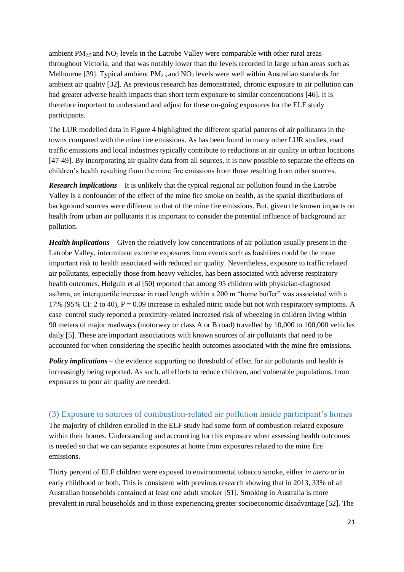ambient  $PM_{2.5}$  and  $NO_2$  levels in the Latrobe Valley were comparable with other rural areas throughout Victoria, and that was notably lower than the levels recorded in large urban areas such as Melbourne [39]. Typical ambient  $PM_{2.5}$  and  $NO_2$  levels were well within Australian standards for ambient air quality [32]. As previous research has demonstrated, chronic exposure to air pollution can had greater adverse health impacts than short term exposure to similar concentrations [46]. It is therefore important to understand and adjust for these on-going exposures for the ELF study participants.

The LUR modelled data in Figure 4 highlighted the different spatial patterns of air pollutants in the towns compared with the mine fire emissions. As has been found in many other LUR studies, road traffic emissions and local industries typically contribute to reductions in air quality in urban locations [47-49]. By incorporating air quality data from all sources, it is now possible to separate the effects on children's health resulting from the mine fire emissions from those resulting from other sources.

*Research implications* – It is unlikely that the typical regional air pollution found in the Latrobe Valley is a confounder of the effect of the mine fire smoke on health, as the spatial distributions of background sources were different to that of the mine fire emissions. But, given the known impacts on health from urban air pollutants it is important to consider the potential influence of background air pollution.

*Health implications* – Given the relatively low concentrations of air pollution usually present in the Latrobe Valley, intermittent extreme exposures from events such as bushfires could be the more important risk to health associated with reduced air quality. Nevertheless, exposure to traffic related air pollutants, especially those from heavy vehicles, has been associated with adverse respiratory health outcomes. Holguin et al [50] reported that among 95 children with physician-diagnosed asthma, an interquartile increase in road length within a 200 m "home buffer" was associated with a 17% (95% CI: 2 to 40),  $P = 0.09$  increase in exhaled nitric oxide but not with respiratory symptoms. A case–control study reported a proximity-related increased risk of wheezing in children living within 90 meters of major roadways (motorway or class A or B road) travelled by 10,000 to 100,000 vehicles daily [5]. These are important associations with known sources of air pollutants that need to be accounted for when considering the specific health outcomes associated with the mine fire emissions.

*Policy implications* – the evidence supporting no threshold of effect for air pollutants and health is increasingly being reported. As such, all efforts to reduce children, and vulnerable populations, from exposures to poor air quality are needed.

#### <span id="page-20-0"></span>(3) Exposure to sources of combustion-related air pollution inside participant's homes

The majority of children enrolled in the ELF study had some form of combustion-related exposure within their homes. Understanding and accounting for this exposure when assessing health outcomes is needed so that we can separate exposures at home from exposures related to the mine fire emissions.

Thirty percent of ELF children were exposed to environmental tobacco smoke, either *in utero* or in early childhood or both. This is consistent with previous research showing that in 2013, 33% of all Australian households contained at least one adult smoker [51]. Smoking in Australia is more prevalent in rural households and in those experiencing greater socioeconomic disadvantage [52]. The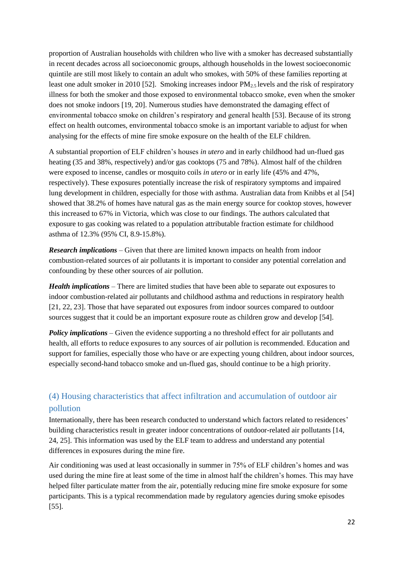proportion of Australian households with children who live with a smoker has decreased substantially in recent decades across all socioeconomic groups, although households in the lowest socioeconomic quintile are still most likely to contain an adult who smokes, with 50% of these families reporting at least one adult smoker in 2010 [52]. Smoking increases indoor PM<sub>2.5</sub> levels and the risk of respiratory illness for both the smoker and those exposed to environmental tobacco smoke, even when the smoker does not smoke indoors [19, 20]. Numerous studies have demonstrated the damaging effect of environmental tobacco smoke on children's respiratory and general health [53]. Because of its strong effect on health outcomes, environmental tobacco smoke is an important variable to adjust for when analysing for the effects of mine fire smoke exposure on the health of the ELF children.

A substantial proportion of ELF children's houses *in utero* and in early childhood had un-flued gas heating (35 and 38%, respectively) and/or gas cooktops (75 and 78%). Almost half of the children were exposed to incense, candles or mosquito coils *in utero* or in early life (45% and 47%, respectively). These exposures potentially increase the risk of respiratory symptoms and impaired lung development in children, especially for those with asthma. Australian data from Knibbs et al [54] showed that 38.2% of homes have natural gas as the main energy source for cooktop stoves, however this increased to 67% in Victoria, which was close to our findings. The authors calculated that exposure to gas cooking was related to a population attributable fraction estimate for childhood asthma of 12.3% (95% CI, 8.9-15.8%).

*Research implications* – Given that there are limited known impacts on health from indoor combustion-related sources of air pollutants it is important to consider any potential correlation and confounding by these other sources of air pollution.

*Health implications* – There are limited studies that have been able to separate out exposures to indoor combustion-related air pollutants and childhood asthma and reductions in respiratory health [21, 22, 23]. Those that have separated out exposures from indoor sources compared to outdoor sources suggest that it could be an important exposure route as children grow and develop [54].

<span id="page-21-0"></span>*Policy implications* – Given the evidence supporting a no threshold effect for air pollutants and health, all efforts to reduce exposures to any sources of air pollution is recommended. Education and support for families, especially those who have or are expecting young children, about indoor sources, especially second-hand tobacco smoke and un-flued gas, should continue to be a high priority.

# (4) Housing characteristics that affect infiltration and accumulation of outdoor air pollution

Internationally, there has been research conducted to understand which factors related to residences' building characteristics result in greater indoor concentrations of outdoor-related air pollutants [14, 24, 25]. This information was used by the ELF team to address and understand any potential differences in exposures during the mine fire.

Air conditioning was used at least occasionally in summer in 75% of ELF children's homes and was used during the mine fire at least some of the time in almost half the children's homes. This may have helped filter particulate matter from the air, potentially reducing mine fire smoke exposure for some participants. This is a typical recommendation made by regulatory agencies during smoke episodes [55].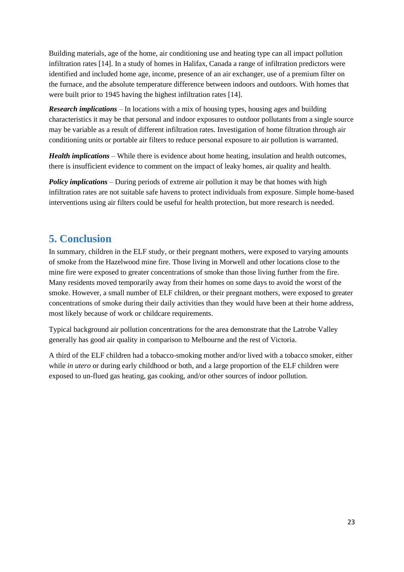Building materials, age of the home, air conditioning use and heating type can all impact pollution infiltration rates [14]. In a study of homes in Halifax, Canada a range of infiltration predictors were identified and included home age, income, presence of an air exchanger, use of a premium filter on the furnace, and the absolute temperature difference between indoors and outdoors. With homes that were built prior to 1945 having the highest infiltration rates [14].

*Research implications* – In locations with a mix of housing types, housing ages and building characteristics it may be that personal and indoor exposures to outdoor pollutants from a single source may be variable as a result of different infiltration rates. Investigation of home filtration through air conditioning units or portable air filters to reduce personal exposure to air pollution is warranted.

*Health implications* – While there is evidence about home heating, insulation and health outcomes, there is insufficient evidence to comment on the impact of leaky homes, air quality and health.

*Policy implications* – During periods of extreme air pollution it may be that homes with high infiltration rates are not suitable safe havens to protect individuals from exposure. Simple home-based interventions using air filters could be useful for health protection, but more research is needed.

# <span id="page-22-0"></span>**5. Conclusion**

In summary, children in the ELF study, or their pregnant mothers, were exposed to varying amounts of smoke from the Hazelwood mine fire. Those living in Morwell and other locations close to the mine fire were exposed to greater concentrations of smoke than those living further from the fire. Many residents moved temporarily away from their homes on some days to avoid the worst of the smoke. However, a small number of ELF children, or their pregnant mothers, were exposed to greater concentrations of smoke during their daily activities than they would have been at their home address, most likely because of work or childcare requirements.

Typical background air pollution concentrations for the area demonstrate that the Latrobe Valley generally has good air quality in comparison to Melbourne and the rest of Victoria.

A third of the ELF children had a tobacco-smoking mother and/or lived with a tobacco smoker, either while *in utero* or during early childhood or both, and a large proportion of the ELF children were exposed to un-flued gas heating, gas cooking, and/or other sources of indoor pollution.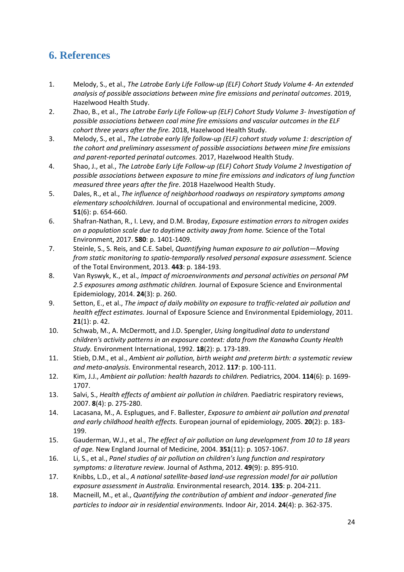# <span id="page-23-0"></span>**6. References**

- 1. Melody, S., et al., *The Latrobe Early Life Follow-up (ELF) Cohort Study Volume 4- An extended analysis of possible associations between mine fire emissions and perinatal outcomes*. 2019, Hazelwood Health Study.
- 2. Zhao, B., et al., *The Latrobe Early Life Follow-up (ELF) Cohort Study Volume 3- Investigation of possible associations between coal mine fire emissions and vascular outcomes in the ELF cohort three years after the fire.* 2018, Hazelwood Health Study.
- 3. Melody, S., et al., *The Latrobe early life follow-up (ELF) cohort study volume 1: description of the cohort and preliminary assessment of possible associations between mine fire emissions and parent-reported perinatal outcomes.* 2017, Hazelwood Health Study.
- 4. Shao, J., et al., *The Latrobe Early Life Follow-up (ELF) Cohort Study Volume 2 Investigation of possible associations between exposure to mine fire emissions and indicators of lung function measured three years after the fire*. 2018 Hazelwood Health Study.
- 5. Dales, R., et al., *The influence of neighborhood roadways on respiratory symptoms among elementary schoolchildren.* Journal of occupational and environmental medicine, 2009. **51**(6): p. 654-660.
- 6. Shafran-Nathan, R., I. Levy, and D.M. Broday, *Exposure estimation errors to nitrogen oxides on a population scale due to daytime activity away from home.* Science of the Total Environment, 2017. **580**: p. 1401-1409.
- 7. Steinle, S., S. Reis, and C.E. Sabel, *Quantifying human exposure to air pollution—Moving from static monitoring to spatio-temporally resolved personal exposure assessment.* Science of the Total Environment, 2013. **443**: p. 184-193.
- 8. Van Ryswyk, K., et al., *Impact of microenvironments and personal activities on personal PM 2.5 exposures among asthmatic children.* Journal of Exposure Science and Environmental Epidemiology, 2014. **24**(3): p. 260.
- 9. Setton, E., et al., *The impact of daily mobility on exposure to traffic-related air pollution and health effect estimates.* Journal of Exposure Science and Environmental Epidemiology, 2011. **21**(1): p. 42.
- 10. Schwab, M., A. McDermott, and J.D. Spengler, *Using longitudinal data to understand children's activity patterns in an exposure context: data from the Kanawha County Health Study.* Environment International, 1992. **18**(2): p. 173-189.
- 11. Stieb, D.M., et al., *Ambient air pollution, birth weight and preterm birth: a systematic review and meta-analysis.* Environmental research, 2012. **117**: p. 100-111.
- 12. Kim, J.J., *Ambient air pollution: health hazards to children.* Pediatrics, 2004. **114**(6): p. 1699- 1707.
- 13. Salvi, S., *Health effects of ambient air pollution in children.* Paediatric respiratory reviews, 2007. **8**(4): p. 275-280.
- 14. Lacasana, M., A. Esplugues, and F. Ballester, *Exposure to ambient air pollution and prenatal and early childhood health effects.* European journal of epidemiology, 2005. **20**(2): p. 183- 199.
- 15. Gauderman, W.J., et al., *The effect of air pollution on lung development from 10 to 18 years of age.* New England Journal of Medicine, 2004. **351**(11): p. 1057-1067.
- 16. Li, S., et al., *Panel studies of air pollution on children's lung function and respiratory symptoms: a literature review.* Journal of Asthma, 2012. **49**(9): p. 895-910.
- 17. Knibbs, L.D., et al., *A national satellite-based land-use regression model for air pollution exposure assessment in Australia.* Environmental research, 2014. **135**: p. 204-211.
- 18. Macneill, M., et al., *Quantifying the contribution of ambient and indoor*‐*generated fine particles to indoor air in residential environments.* Indoor Air, 2014. **24**(4): p. 362-375.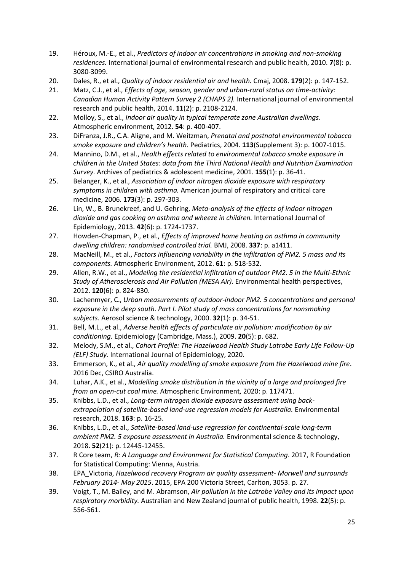- 19. Héroux, M.-E., et al., *Predictors of indoor air concentrations in smoking and non-smoking residences.* International journal of environmental research and public health, 2010. **7**(8): p. 3080-3099.
- 20. Dales, R., et al., *Quality of indoor residential air and health.* Cmaj, 2008. **179**(2): p. 147-152.
- 21. Matz, C.J., et al., *Effects of age, season, gender and urban-rural status on time-activity: Canadian Human Activity Pattern Survey 2 (CHAPS 2).* International journal of environmental research and public health, 2014. **11**(2): p. 2108-2124.
- 22. Molloy, S., et al., *Indoor air quality in typical temperate zone Australian dwellings.* Atmospheric environment, 2012. **54**: p. 400-407.
- 23. DiFranza, J.R., C.A. Aligne, and M. Weitzman, *Prenatal and postnatal environmental tobacco smoke exposure and children's health.* Pediatrics, 2004. **113**(Supplement 3): p. 1007-1015.
- 24. Mannino, D.M., et al., *Health effects related to environmental tobacco smoke exposure in children in the United States: data from the Third National Health and Nutrition Examination Survey.* Archives of pediatrics & adolescent medicine, 2001. **155**(1): p. 36-41.
- 25. Belanger, K., et al., *Association of indoor nitrogen dioxide exposure with respiratory symptoms in children with asthma.* American journal of respiratory and critical care medicine, 2006. **173**(3): p. 297-303.
- 26. Lin, W., B. Brunekreef, and U. Gehring, *Meta-analysis of the effects of indoor nitrogen dioxide and gas cooking on asthma and wheeze in children.* International Journal of Epidemiology, 2013. **42**(6): p. 1724-1737.
- 27. Howden-Chapman, P., et al., *Effects of improved home heating on asthma in community dwelling children: randomised controlled trial.* BMJ, 2008. **337**: p. a1411.
- 28. MacNeill, M., et al., *Factors influencing variability in the infiltration of PM2. 5 mass and its components.* Atmospheric Environment, 2012. **61**: p. 518-532.
- 29. Allen, R.W., et al., *Modeling the residential infiltration of outdoor PM2. 5 in the Multi-Ethnic Study of Atherosclerosis and Air Pollution (MESA Air).* Environmental health perspectives, 2012. **120**(6): p. 824-830.
- 30. Lachenmyer, C., *Urban measurements of outdoor-indoor PM2. 5 concentrations and personal exposure in the deep south. Part I. Pilot study of mass concentrations for nonsmoking subjects.* Aerosol science & technology, 2000. **32**(1): p. 34-51.
- 31. Bell, M.L., et al., *Adverse health effects of particulate air pollution: modification by air conditioning.* Epidemiology (Cambridge, Mass.), 2009. **20**(5): p. 682.
- 32. Melody, S.M., et al., *Cohort Profile: The Hazelwood Health Study Latrobe Early Life Follow-Up (ELF) Study.* International Journal of Epidemiology, 2020.
- 33. Emmerson, K., et al., *Air quality modelling of smoke exposure from the Hazelwood mine fire*. 2016 Dec, CSIRO Australia.
- 34. Luhar, A.K., et al., *Modelling smoke distribution in the vicinity of a large and prolonged fire from an open-cut coal mine.* Atmospheric Environment, 2020: p. 117471.
- 35. Knibbs, L.D., et al., *Long-term nitrogen dioxide exposure assessment using backextrapolation of satellite-based land-use regression models for Australia.* Environmental research, 2018. **163**: p. 16-25.
- 36. Knibbs, L.D., et al., *Satellite-based land-use regression for continental-scale long-term ambient PM2. 5 exposure assessment in Australia.* Environmental science & technology, 2018. **52**(21): p. 12445-12455.
- 37. R Core team, *R: A Language and Environment for Statistical Computing*. 2017, R Foundation for Statistical Computing: Vienna, Austria.
- 38. EPA\_Victoria, *Hazelwood recovery Program air quality assessment- Morwell and surrounds February 2014- May 2015*. 2015, EPA 200 Victoria Street, Carlton, 3053. p. 27.
- 39. Voigt, T., M. Bailey, and M. Abramson, *Air pollution in the Latrobe Valley and its impact upon respiratory morbidity.* Australian and New Zealand journal of public health, 1998. **22**(5): p. 556-561.